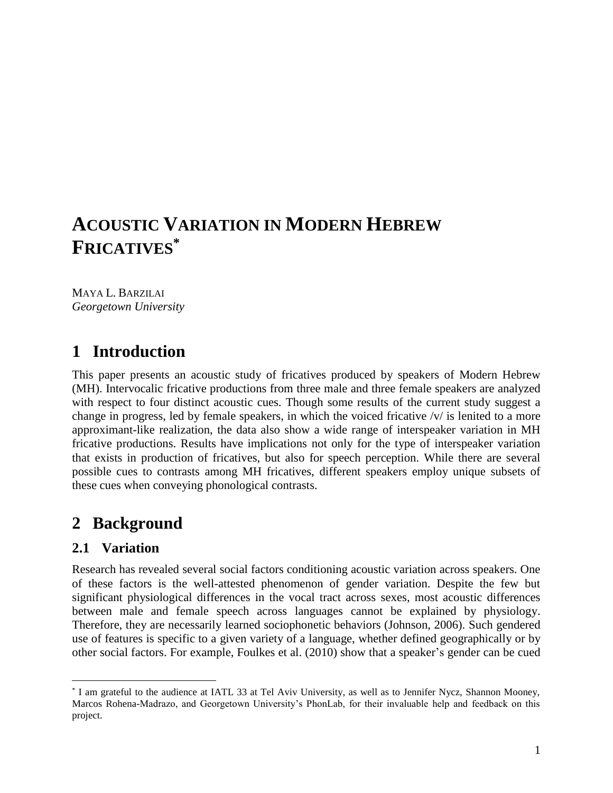# **ACOUSTIC VARIATION IN MODERN HEBREW FRICATIVES\***

MAYA L. BARZILAI *Georgetown University*

# **1** Introduction

This paper presents an acoustic study of fricatives produced by speakers of Modern Hebrew (MH). Intervocalic fricative productions from three male and three female speakers are analyzed with respect to four distinct acoustic cues. Though some results of the current study suggest a change in progress, led by female speakers, in which the voiced fricative /v/ is lenited to a more approximant-like realization, the data also show a wide range of interspeaker variation in MH fricative productions. Results have implications not only for the type of interspeaker variation that exists in production of fricatives, but also for speech perception. While there are several possible cues to contrasts among MH fricatives, different speakers employ unique subsets of these cues when conveying phonological contrasts.

# 2 Background

## 2.1 Variation

 $\overline{a}$ 

Research has revealed several social factors conditioning acoustic variation across speakers. One of these factors is the well-attested phenomenon of gender variation. Despite the few but significant physiological differences in the vocal tract across sexes, most acoustic differences between male and female speech across languages cannot be explained by physiology. Therefore, they are necessarily learned sociophonetic behaviors (Johnson, 2006). Such gendered use of features is specific to a given variety of a language, whether defined geographically or by other social factors. For example, Foulkes et al. (2010) show that a speaker's gender can be cued

<sup>\*</sup> I am grateful to the audience at IATL 33 at Tel Aviv University, as well as to Jennifer Nycz, Shannon Mooney, Marcos Rohena-Madrazo, and Georgetown University's PhonLab, for their invaluable help and feedback on this project.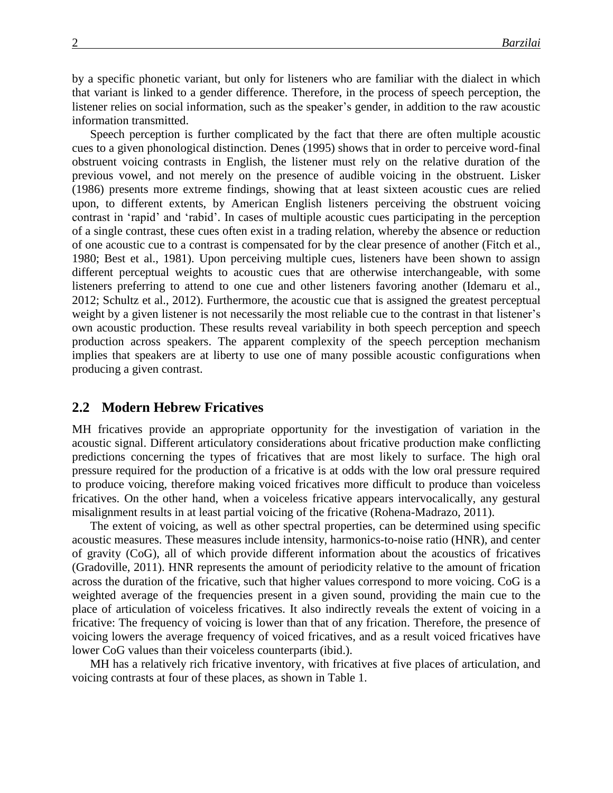by a specific phonetic variant, but only for listeners who are familiar with the dialect in which that variant is linked to a gender difference. Therefore, in the process of speech perception, the listener relies on social information, such as the speaker's gender, in addition to the raw acoustic information transmitted.

Speech perception is further complicated by the fact that there are often multiple acoustic cues to a given phonological distinction. Denes (1995) shows that in order to perceive word-final obstruent voicing contrasts in English, the listener must rely on the relative duration of the previous vowel, and not merely on the presence of audible voicing in the obstruent. Lisker (1986) presents more extreme findings, showing that at least sixteen acoustic cues are relied upon, to different extents, by American English listeners perceiving the obstruent voicing contrast in 'rapid' and 'rabid'. In cases of multiple acoustic cues participating in the perception of a single contrast, these cues often exist in a trading relation, whereby the absence or reduction of one acoustic cue to a contrast is compensated for by the clear presence of another (Fitch et al., 1980; Best et al., 1981). Upon perceiving multiple cues, listeners have been shown to assign different perceptual weights to acoustic cues that are otherwise interchangeable, with some listeners preferring to attend to one cue and other listeners favoring another (Idemaru et al., 2012; Schultz et al., 2012). Furthermore, the acoustic cue that is assigned the greatest perceptual weight by a given listener is not necessarily the most reliable cue to the contrast in that listener's own acoustic production. These results reveal variability in both speech perception and speech production across speakers. The apparent complexity of the speech perception mechanism implies that speakers are at liberty to use one of many possible acoustic configurations when producing a given contrast.

#### **2.2 Modern Hebrew Fricatives**

MH fricatives provide an appropriate opportunity for the investigation of variation in the acoustic signal. Different articulatory considerations about fricative production make conflicting predictions concerning the types of fricatives that are most likely to surface. The high oral pressure required for the production of a fricative is at odds with the low oral pressure required to produce voicing, therefore making voiced fricatives more difficult to produce than voiceless fricatives. On the other hand, when a voiceless fricative appears intervocalically, any gestural misalignment results in at least partial voicing of the fricative (Rohena-Madrazo, 2011).

The extent of voicing, as well as other spectral properties, can be determined using specific acoustic measures. These measures include intensity, harmonics-to-noise ratio (HNR), and center of gravity (CoG), all of which provide different information about the acoustics of fricatives (Gradoville, 2011). HNR represents the amount of periodicity relative to the amount of frication across the duration of the fricative, such that higher values correspond to more voicing. CoG is a weighted average of the frequencies present in a given sound, providing the main cue to the place of articulation of voiceless fricatives. It also indirectly reveals the extent of voicing in a fricative: The frequency of voicing is lower than that of any frication. Therefore, the presence of voicing lowers the average frequency of voiced fricatives, and as a result voiced fricatives have lower CoG values than their voiceless counterparts (ibid.).

MH has a relatively rich fricative inventory, with fricatives at five places of articulation, and voicing contrasts at four of these places, as shown in Table 1.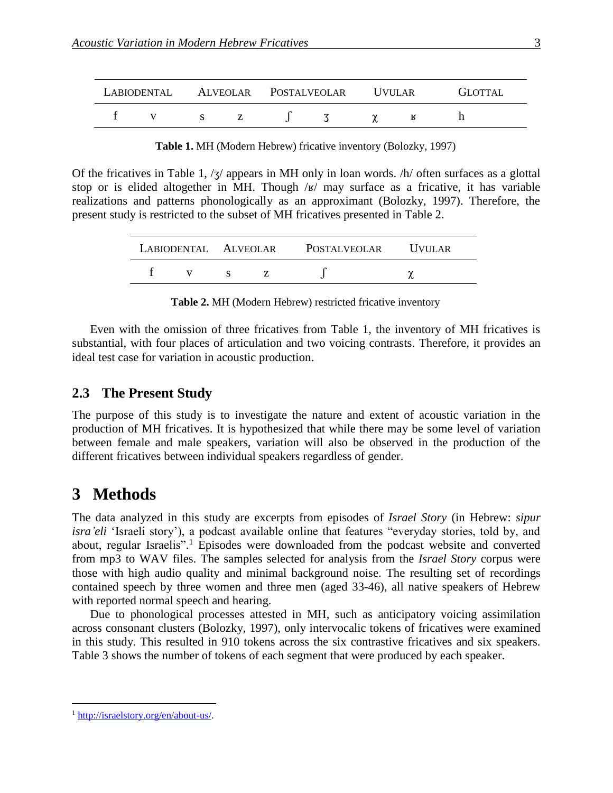|  |  |  |  | LABIODENTAL ALVEOLAR POSTALVEOLAR UVULAR |  |  |  | GLOTTAL |  |
|--|--|--|--|------------------------------------------|--|--|--|---------|--|
|  |  |  |  |                                          |  |  |  |         |  |

**Table 1.** MH (Modern Hebrew) fricative inventory (Bolozky, 1997)

Of the fricatives in Table 1,  $\frac{1}{3}$  appears in MH only in loan words.  $\frac{h}{\text{ of}}$  often surfaces as a glottal stop or is elided altogether in MH. Though /ʁ/ may surface as a fricative, it has variable realizations and patterns phonologically as an approximant (Bolozky, 1997). Therefore, the present study is restricted to the subset of MH fricatives presented in Table 2.

|  |  |  |  | LABIODENTAL ALVEOLAR POSTALVEOLAR UVULAR |  |  |  |
|--|--|--|--|------------------------------------------|--|--|--|
|  |  |  |  |                                          |  |  |  |

**Table 2.** MH (Modern Hebrew) restricted fricative inventory

Even with the omission of three fricatives from Table 1, the inventory of MH fricatives is substantial, with four places of articulation and two voicing contrasts. Therefore, it provides an ideal test case for variation in acoustic production.

### 2.3 The Present Study

The purpose of this study is to investigate the nature and extent of acoustic variation in the production of MH fricatives. It is hypothesized that while there may be some level of variation between female and male speakers, variation will also be observed in the production of the different fricatives between individual speakers regardless of gender.

## 3 Methods

The data analyzed in this study are excerpts from episodes of *Israel Story* (in Hebrew: *sipur isra'eli* 'Israeli story'), a podcast available online that features "everyday stories, told by, and about, regular Israelis".<sup>1</sup> Episodes were downloaded from the podcast website and converted from mp3 to WAV files. The samples selected for analysis from the *Israel Story* corpus were those with high audio quality and minimal background noise. The resulting set of recordings contained speech by three women and three men (aged 33-46), all native speakers of Hebrew with reported normal speech and hearing.

Due to phonological processes attested in MH, such as anticipatory voicing assimilation across consonant clusters (Bolozky, 1997), only intervocalic tokens of fricatives were examined in this study. This resulted in 910 tokens across the six contrastive fricatives and six speakers. Table 3 shows the number of tokens of each segment that were produced by each speaker.

 $\overline{a}$ 

<sup>1</sup> [http://israelstory.org/en/about-us/.](http://israelstory.org/en/about-us/)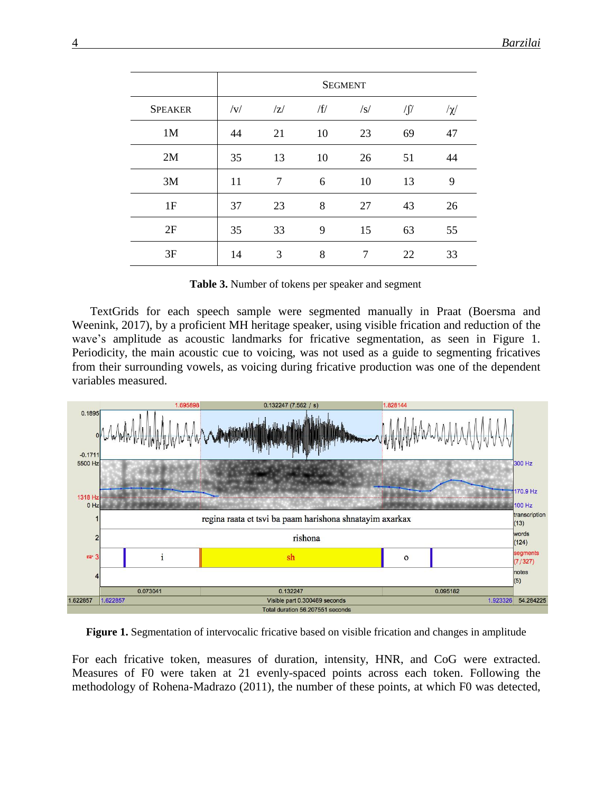|                | <b>SEGMENT</b> |    |     |     |            |          |  |  |  |
|----------------|----------------|----|-----|-----|------------|----------|--|--|--|
| <b>SPEAKER</b> | v              | Z  | /f/ | /s/ | $\sqrt{2}$ | $/\chi/$ |  |  |  |
| 1M             | 44             | 21 | 10  | 23  | 69         | 47       |  |  |  |
| 2M             | 35             | 13 | 10  | 26  | 51         | 44       |  |  |  |
| 3M             | 11             | 7  | 6   | 10  | 13         | 9        |  |  |  |
| 1F             | 37             | 23 | 8   | 27  | 43         | 26       |  |  |  |
| 2F             | 35             | 33 | 9   | 15  | 63         | 55       |  |  |  |
| 3F             | 14             | 3  | 8   | 7   | 22         | 33       |  |  |  |

**Table 3.** Number of tokens per speaker and segment

TextGrids for each speech sample were segmented manually in Praat (Boersma and Weenink, 2017), by a proficient MH heritage speaker, using visible frication and reduction of the wave's amplitude as acoustic landmarks for fricative segmentation, as seen in Figure 1. Periodicity, the main acoustic cue to voicing, was not used as a guide to segmenting fricatives from their surrounding vowels, as voicing during fricative production was one of the dependent variables measured.



**Figure 1.** Segmentation of intervocalic fricative based on visible frication and changes in amplitude

For each fricative token, measures of duration, intensity, HNR, and CoG were extracted. Measures of F0 were taken at 21 evenly-spaced points across each token. Following the methodology of Rohena-Madrazo (2011), the number of these points, at which F0 was detected,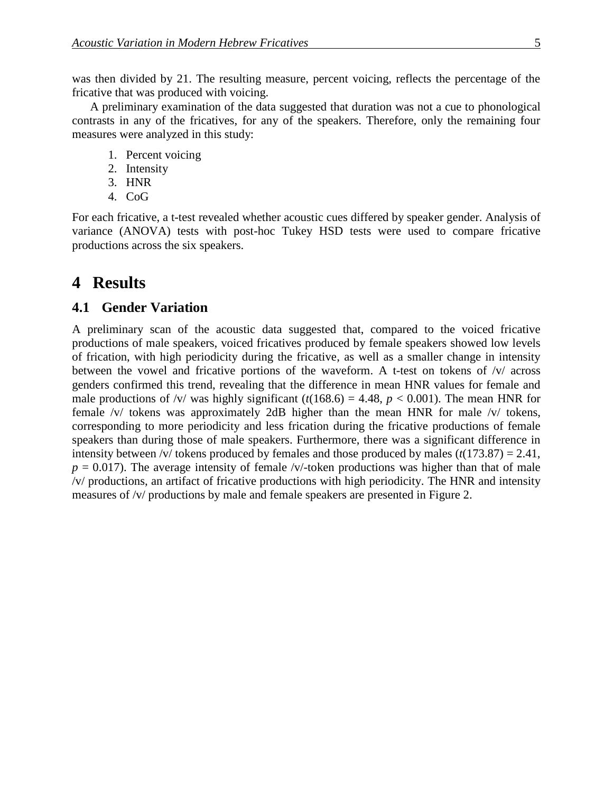was then divided by 21. The resulting measure, percent voicing, reflects the percentage of the fricative that was produced with voicing.

A preliminary examination of the data suggested that duration was not a cue to phonological contrasts in any of the fricatives, for any of the speakers. Therefore, only the remaining four measures were analyzed in this study:

- 1. Percent voicing
- 2. Intensity
- 3. HNR
- 4. CoG

For each fricative, a t-test revealed whether acoustic cues differed by speaker gender. Analysis of variance (ANOVA) tests with post-hoc Tukey HSD tests were used to compare fricative productions across the six speakers.

## 4 **Results**

#### **4.1 Gender Variation**

A preliminary scan of the acoustic data suggested that, compared to the voiced fricative productions of male speakers, voiced fricatives produced by female speakers showed low levels of frication, with high periodicity during the fricative, as well as a smaller change in intensity between the vowel and fricative portions of the waveform. A t-test on tokens of /v/ across genders confirmed this trend, revealing that the difference in mean HNR values for female and male productions of /v/ was highly significant  $(t(168.6) = 4.48, p < 0.001)$ . The mean HNR for female /v/ tokens was approximately 2dB higher than the mean HNR for male /v/ tokens, corresponding to more periodicity and less frication during the fricative productions of female speakers than during those of male speakers. Furthermore, there was a significant difference in intensity between /v/ tokens produced by females and those produced by males  $(t(173.87) = 2.41$ ,  $p = 0.017$ ). The average intensity of female /v/-token productions was higher than that of male /v/ productions, an artifact of fricative productions with high periodicity. The HNR and intensity measures of /v/ productions by male and female speakers are presented in Figure 2.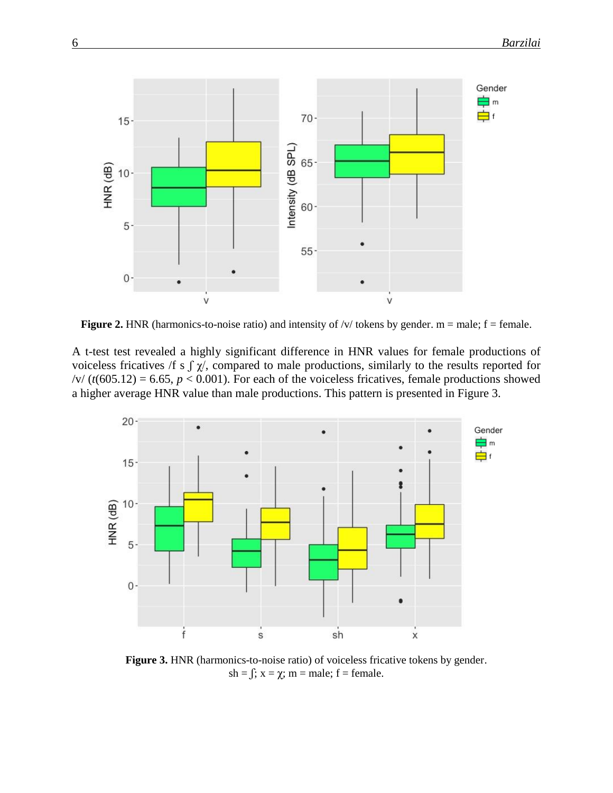

**Figure 2.** HNR (harmonics-to-noise ratio) and intensity of  $/v/$  tokens by gender. m = male; f = female.

A t-test test revealed a highly significant difference in HNR values for female productions of voiceless fricatives /f s  $\int \chi$ , compared to male productions, similarly to the results reported for  $\frac{v}{f}$  (*t*(605.12) = 6.65, *p* < 0.001). For each of the voiceless fricatives, female productions showed a higher average HNR value than male productions. This pattern is presented in Figure 3.



**Figure 3.** HNR (harmonics-to-noise ratio) of voiceless fricative tokens by gender. sh =  $\int$ ; x =  $\chi$ ; m = male; f = female.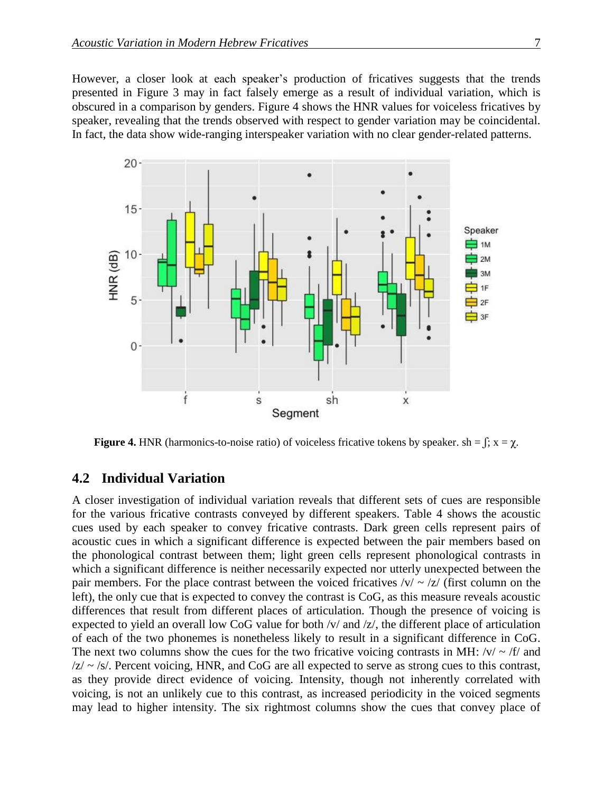However, a closer look at each speaker's production of fricatives suggests that the trends presented in Figure 3 may in fact falsely emerge as a result of individual variation, which is obscured in a comparison by genders. Figure 4 shows the HNR values for voiceless fricatives by speaker, revealing that the trends observed with respect to gender variation may be coincidental. In fact, the data show wide-ranging interspeaker variation with no clear gender-related patterns.



**Figure 4.** HNR (harmonics-to-noise ratio) of voiceless fricative tokens by speaker. sh =  $\int$ ; x =  $\chi$ .

### **4.2** Individual Variation

A closer investigation of individual variation reveals that different sets of cues are responsible for the various fricative contrasts conveyed by different speakers. Table 4 shows the acoustic cues used by each speaker to convey fricative contrasts. Dark green cells represent pairs of acoustic cues in which a significant difference is expected between the pair members based on the phonological contrast between them; light green cells represent phonological contrasts in which a significant difference is neither necessarily expected nor utterly unexpected between the pair members. For the place contrast between the voiced fricatives  $\sqrt{v}$   $\sim$   $\sqrt{z}$  (first column on the left), the only cue that is expected to convey the contrast is CoG, as this measure reveals acoustic differences that result from different places of articulation. Though the presence of voicing is expected to yield an overall low CoG value for both /v/ and /z/, the different place of articulation of each of the two phonemes is nonetheless likely to result in a significant difference in CoG. The next two columns show the cues for the two fricative voicing contrasts in MH:  $\frac{v}{x}$  /f/ and  $|z| \sim$  /s/. Percent voicing, HNR, and CoG are all expected to serve as strong cues to this contrast, as they provide direct evidence of voicing. Intensity, though not inherently correlated with voicing, is not an unlikely cue to this contrast, as increased periodicity in the voiced segments may lead to higher intensity. The six rightmost columns show the cues that convey place of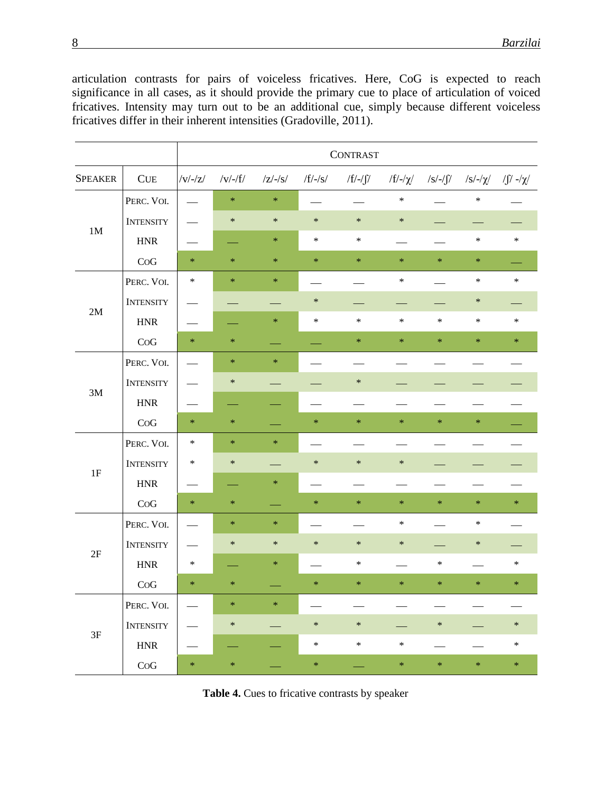articulation contrasts for pairs of voiceless fricatives. Here, CoG is expected to reach significance in all cases, as it should provide the primary cue to place of articulation of voiced fricatives. Intensity may turn out to be an additional cue, simply because different voiceless fricatives differ in their inherent intensities (Gradoville, 2011).

|                |                  |                          |                |                           |           | <b>CONTRAST</b> |        |        |        |        |
|----------------|------------------|--------------------------|----------------|---------------------------|-----------|-----------------|--------|--------|--------|--------|
| <b>SPEAKER</b> | CUE              | $/\rm{V}/\rm{V}/\rm{Z}/$ | $/v$ /-/ $f$ / | $\frac{1}{2}-\frac{1}{s}$ | $/f/-/s/$ | /f/-/ʃ/         |        |        |        |        |
| $1\mathrm{M}$  | PERC. VOI.       |                          | $\ast$         | $\ast$                    |           |                 | $\ast$ |        | $\ast$ |        |
|                | <b>INTENSITY</b> |                          | $\ast$         | $\ast$                    | $\ast$    | $\ast$          | $\ast$ |        |        |        |
|                | <b>HNR</b>       |                          |                | *                         | $\ast$    | $\ast$          |        |        | $\ast$ | $\ast$ |
|                | ${\rm CoG}$      | $\ast$                   | $\ast$         | $\ast$                    | $\ast$    | $\ast$          | $\ast$ | $\ast$ | $\ast$ |        |
|                | PERC. VOI.       | $\ast$                   | $\ast$         | *                         |           |                 | $\ast$ |        | $\ast$ | $\ast$ |
|                | <b>INTENSITY</b> |                          |                |                           | $\ast$    |                 |        |        | $\ast$ |        |
| $2\mathbf{M}$  | <b>HNR</b>       |                          |                | $\ast$                    | $\ast$    | $\ast$          | $\ast$ | $\ast$ | $\ast$ | $\ast$ |
|                | CoG              | $\ast$                   | $\ast$         |                           |           | $\ast$          | $\ast$ | $\ast$ | $\ast$ | $\ast$ |
| $3\mathrm{M}$  | PERC. VOI.       |                          | $\ast$         | $\ast$                    |           |                 |        |        |        |        |
|                | <b>INTENSITY</b> |                          | $\ast$         |                           |           | $\ast$          |        |        |        |        |
|                | <b>HNR</b>       |                          |                |                           |           |                 |        |        |        |        |
|                | CoG              | $\ast$                   | $\ast$         |                           | $\ast$    | $\ast$          | $\ast$ | $\ast$ | $\ast$ |        |
|                | PERC. VOI.       | $\ast$                   | $\ast$         | $\ast$                    |           |                 |        |        |        |        |
|                | <b>INTENSITY</b> | $\ast$                   | $\ast$         |                           | $\ast$    | $\ast$          | $\ast$ |        |        |        |
| 1F             | <b>HNR</b>       |                          |                | $\ast$                    |           |                 |        |        |        |        |
|                | CoG              | $\ast$                   | $\ast$         |                           | $\ast$    | $\ast$          | $\ast$ | $\ast$ | $\ast$ | *      |
|                | PERC. VOI.       |                          | $\ast$         | ∗                         |           |                 | $\ast$ |        | $\ast$ |        |
| 2F             | <b>INTENSITY</b> |                          | $\ast$         | $\ast$                    | $\ast$    | $\ast$          | $\ast$ |        | $\ast$ |        |
|                | <b>HNR</b>       | $\ast$                   |                | $\ast$                    |           | $\ast$          |        | $\ast$ |        | $\ast$ |
|                | CoG              | $\ast$                   | $\ast$         |                           | *         | $\ast$          | $\ast$ | $\ast$ | $\ast$ | $\ast$ |
| $3F$           | PERC. VOI.       |                          | $\ast$         | $\ast$                    |           |                 |        |        |        |        |
|                | <b>INTENSITY</b> |                          | $\ast$         |                           | $\ast$    | $\ast$          |        | $\ast$ |        | $\ast$ |
|                | ${\rm HNR}$      |                          |                |                           | $\ast$    | $\ast$          | $\ast$ |        |        | $\ast$ |
|                | ${\rm CoG}$      | $\ast$                   | $\ast$         |                           | $\ast$    |                 | $\ast$ | $\ast$ | $\ast$ | $\ast$ |

**Table 4.** Cues to fricative contrasts by speaker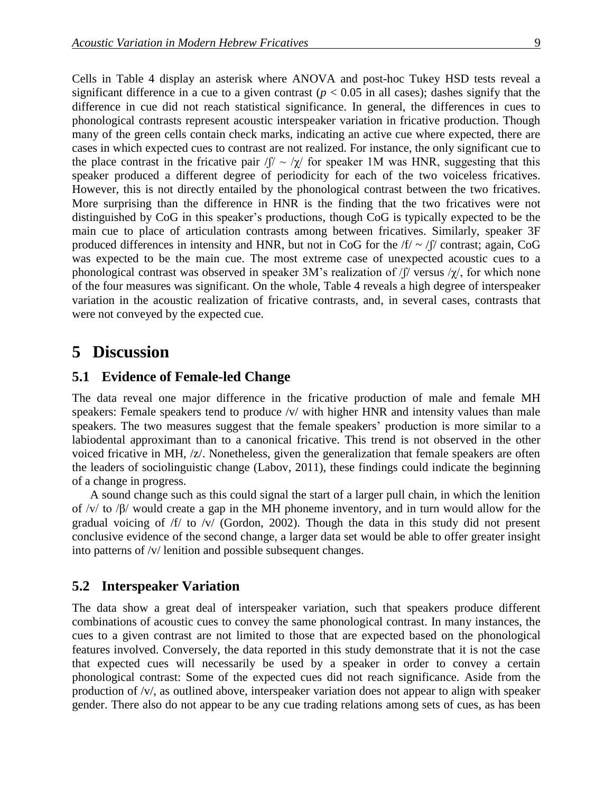Cells in Table 4 display an asterisk where ANOVA and post-hoc Tukey HSD tests reveal a significant difference in a cue to a given contrast  $(p < 0.05$  in all cases); dashes signify that the difference in cue did not reach statistical significance. In general, the differences in cues to phonological contrasts represent acoustic interspeaker variation in fricative production. Though many of the green cells contain check marks, indicating an active cue where expected, there are cases in which expected cues to contrast are not realized. For instance, the only significant cue to the place contrast in the fricative pair  $\sqrt{y} \sim \sqrt{x}$  for speaker 1M was HNR, suggesting that this speaker produced a different degree of periodicity for each of the two voiceless fricatives. However, this is not directly entailed by the phonological contrast between the two fricatives. More surprising than the difference in HNR is the finding that the two fricatives were not distinguished by CoG in this speaker's productions, though CoG is typically expected to be the main cue to place of articulation contrasts among between fricatives. Similarly, speaker 3F produced differences in intensity and HNR, but not in CoG for the  $/f / \sim /f /$  contrast; again, CoG was expected to be the main cue. The most extreme case of unexpected acoustic cues to a phonological contrast was observed in speaker 3M's realization of  $\int \int$  versus  $\frac{1}{\chi}$ , for which none of the four measures was significant. On the whole, Table 4 reveals a high degree of interspeaker variation in the acoustic realization of fricative contrasts, and, in several cases, contrasts that were not conveyed by the expected cue.

## **5** Discussion

### **5.1 Evidence of Female-led Change**

The data reveal one major difference in the fricative production of male and female MH speakers: Female speakers tend to produce /v/ with higher HNR and intensity values than male speakers. The two measures suggest that the female speakers' production is more similar to a labiodental approximant than to a canonical fricative. This trend is not observed in the other voiced fricative in MH, /z/. Nonetheless, given the generalization that female speakers are often the leaders of sociolinguistic change (Labov, 2011), these findings could indicate the beginning of a change in progress.

A sound change such as this could signal the start of a larger pull chain, in which the lenition of /v/ to /β/ would create a gap in the MH phoneme inventory, and in turn would allow for the gradual voicing of /f/ to /v/ (Gordon, 2002). Though the data in this study did not present conclusive evidence of the second change, a larger data set would be able to offer greater insight into patterns of /v/ lenition and possible subsequent changes.

#### **5.2** Interspeaker Variation

The data show a great deal of interspeaker variation, such that speakers produce different combinations of acoustic cues to convey the same phonological contrast. In many instances, the cues to a given contrast are not limited to those that are expected based on the phonological features involved. Conversely, the data reported in this study demonstrate that it is not the case that expected cues will necessarily be used by a speaker in order to convey a certain phonological contrast: Some of the expected cues did not reach significance. Aside from the production of /v/, as outlined above, interspeaker variation does not appear to align with speaker gender. There also do not appear to be any cue trading relations among sets of cues, as has been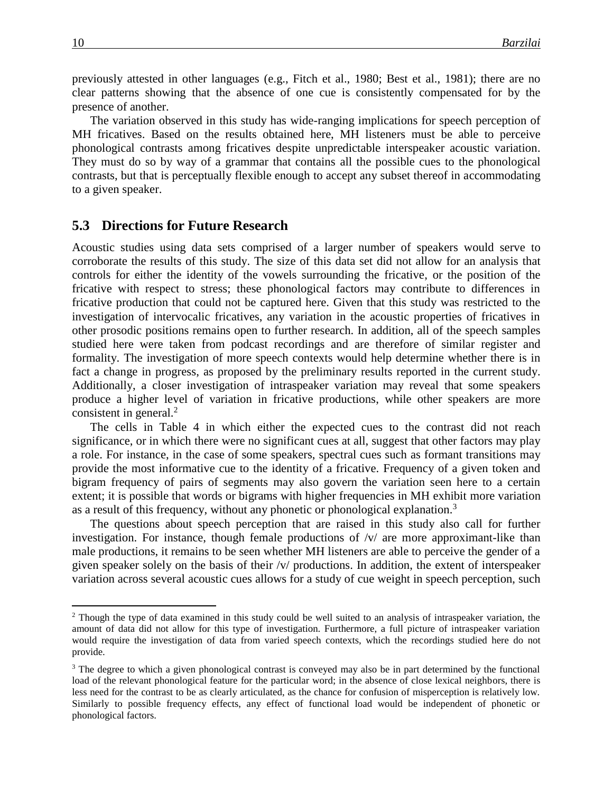previously attested in other languages (e.g., Fitch et al., 1980; Best et al., 1981); there are no clear patterns showing that the absence of one cue is consistently compensated for by the presence of another.

The variation observed in this study has wide-ranging implications for speech perception of MH fricatives. Based on the results obtained here, MH listeners must be able to perceive phonological contrasts among fricatives despite unpredictable interspeaker acoustic variation. They must do so by way of a grammar that contains all the possible cues to the phonological contrasts, but that is perceptually flexible enough to accept any subset thereof in accommodating to a given speaker.

#### **5.3**xx**Directions for Future Research**

Acoustic studies using data sets comprised of a larger number of speakers would serve to corroborate the results of this study. The size of this data set did not allow for an analysis that controls for either the identity of the vowels surrounding the fricative, or the position of the fricative with respect to stress; these phonological factors may contribute to differences in fricative production that could not be captured here. Given that this study was restricted to the investigation of intervocalic fricatives, any variation in the acoustic properties of fricatives in other prosodic positions remains open to further research. In addition, all of the speech samples studied here were taken from podcast recordings and are therefore of similar register and formality. The investigation of more speech contexts would help determine whether there is in fact a change in progress, as proposed by the preliminary results reported in the current study. Additionally, a closer investigation of intraspeaker variation may reveal that some speakers produce a higher level of variation in fricative productions, while other speakers are more consistent in general.<sup>2</sup>

The cells in Table 4 in which either the expected cues to the contrast did not reach significance, or in which there were no significant cues at all, suggest that other factors may play a role. For instance, in the case of some speakers, spectral cues such as formant transitions may provide the most informative cue to the identity of a fricative. Frequency of a given token and bigram frequency of pairs of segments may also govern the variation seen here to a certain extent; it is possible that words or bigrams with higher frequencies in MH exhibit more variation as a result of this frequency, without any phonetic or phonological explanation.<sup>3</sup>

The questions about speech perception that are raised in this study also call for further investigation. For instance, though female productions of  $/\nu$  are more approximant-like than male productions, it remains to be seen whether MH listeners are able to perceive the gender of a given speaker solely on the basis of their /v/ productions. In addition, the extent of interspeaker variation across several acoustic cues allows for a study of cue weight in speech perception, such

 $\overline{a}$ 

<sup>&</sup>lt;sup>2</sup> Though the type of data examined in this study could be well suited to an analysis of intraspeaker variation, the amount of data did not allow for this type of investigation. Furthermore, a full picture of intraspeaker variation would require the investigation of data from varied speech contexts, which the recordings studied here do not provide.

<sup>&</sup>lt;sup>3</sup> The degree to which a given phonological contrast is conveyed may also be in part determined by the functional load of the relevant phonological feature for the particular word; in the absence of close lexical neighbors, there is less need for the contrast to be as clearly articulated, as the chance for confusion of misperception is relatively low. Similarly to possible frequency effects, any effect of functional load would be independent of phonetic or phonological factors.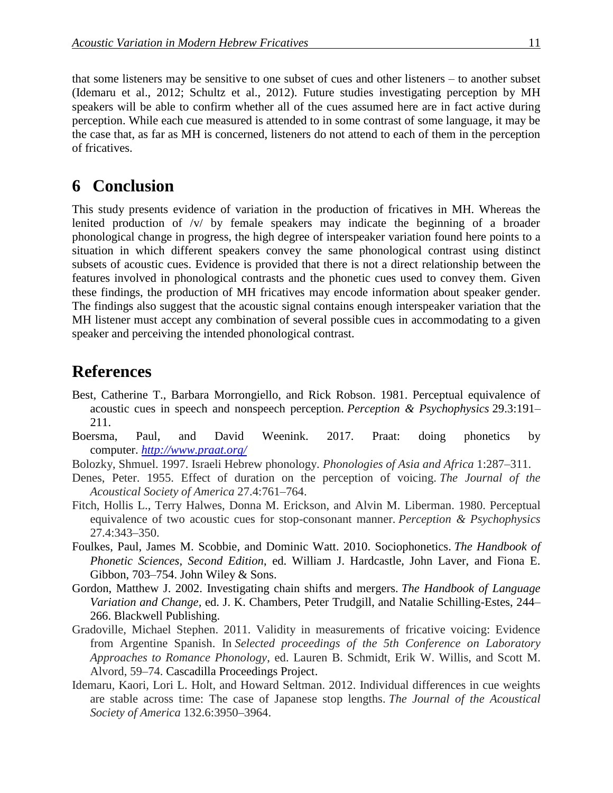that some listeners may be sensitive to one subset of cues and other listeners – to another subset (Idemaru et al., 2012; Schultz et al., 2012). Future studies investigating perception by MH speakers will be able to confirm whether all of the cues assumed here are in fact active during perception. While each cue measured is attended to in some contrast of some language, it may be the case that, as far as MH is concerned, listeners do not attend to each of them in the perception of fricatives.

## **6** Conclusion

This study presents evidence of variation in the production of fricatives in MH. Whereas the lenited production of /v/ by female speakers may indicate the beginning of a broader phonological change in progress, the high degree of interspeaker variation found here points to a situation in which different speakers convey the same phonological contrast using distinct subsets of acoustic cues. Evidence is provided that there is not a direct relationship between the features involved in phonological contrasts and the phonetic cues used to convey them. Given these findings, the production of MH fricatives may encode information about speaker gender. The findings also suggest that the acoustic signal contains enough interspeaker variation that the MH listener must accept any combination of several possible cues in accommodating to a given speaker and perceiving the intended phonological contrast.

## **References**

- Best, Catherine T., Barbara Morrongiello, and Rick Robson. 1981. Perceptual equivalence of acoustic cues in speech and nonspeech perception. *Perception & Psychophysics* 29.3:191– 211.
- Boersma, Paul, and David Weenink. 2017. Praat: doing phonetics by computer. *<http://www.praat.org/>*
- Bolozky, Shmuel. 1997. Israeli Hebrew phonology. *Phonologies of Asia and Africa* 1:287–311.
- Denes, Peter. 1955. Effect of duration on the perception of voicing. *The Journal of the Acoustical Society of America* 27.4:761–764.
- Fitch, Hollis L., Terry Halwes, Donna M. Erickson, and Alvin M. Liberman. 1980. Perceptual equivalence of two acoustic cues for stop-consonant manner. *Perception & Psychophysics* 27.4:343–350.
- Foulkes, Paul, James M. Scobbie, and Dominic Watt. 2010. Sociophonetics. *The Handbook of Phonetic Sciences, Second Edition*, ed. William J. Hardcastle, John Laver, and Fiona E. Gibbon, 703–754. John Wiley & Sons.
- Gordon, Matthew J. 2002. Investigating chain shifts and mergers. *The Handbook of Language Variation and Change,* ed. J. K. Chambers, Peter Trudgill, and Natalie Schilling-Estes, 244– 266. Blackwell Publishing.
- Gradoville, Michael Stephen. 2011. Validity in measurements of fricative voicing: Evidence from Argentine Spanish. In *Selected proceedings of the 5th Conference on Laboratory Approaches to Romance Phonology*, ed. Lauren B. Schmidt, Erik W. Willis, and Scott M. Alvord, 59–74. Cascadilla Proceedings Project.
- Idemaru, Kaori, Lori L. Holt, and Howard Seltman. 2012. Individual differences in cue weights are stable across time: The case of Japanese stop lengths. *The Journal of the Acoustical Society of America* 132.6:3950–3964.